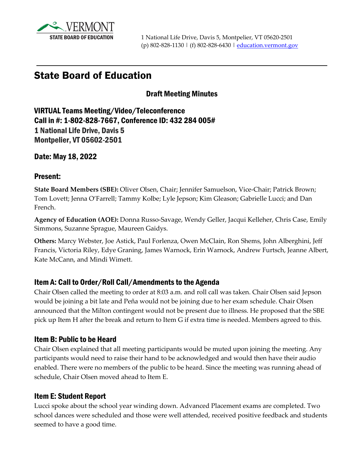

# State Board of Education

### Draft Meeting Minutes

VIRTUAL Teams Meeting/Video/Teleconference Call in #: 1-802-828-7667, Conference ID: 432 284 005# 1 National Life Drive, Davis 5 Montpelier, VT 05602-2501

Date: May 18, 2022

#### Present:

**State Board Members (SBE):** Oliver Olsen, Chair; Jennifer Samuelson, Vice-Chair; Patrick Brown; Tom Lovett; Jenna O'Farrell; Tammy Kolbe; Lyle Jepson; Kim Gleason; Gabrielle Lucci; and Dan French.

**Agency of Education (AOE):** Donna Russo-Savage, Wendy Geller, Jacqui Kelleher, Chris Case, Emily Simmons, Suzanne Sprague, Maureen Gaidys.

**Others:** Marcy Webster, Joe Astick, Paul Forlenza, Owen McClain, Ron Shems, John Alberghini, Jeff Francis, Victoria Riley, Edye Graning, James Warnock, Erin Warnock, Andrew Furtsch, Jeanne Albert, Kate McCann, and Mindi Wimett.

### Item A: Call to Order/Roll Call/Amendments to the Agenda

Chair Olsen called the meeting to order at 8:03 a.m. and roll call was taken. Chair Olsen said Jepson would be joining a bit late and Peña would not be joining due to her exam schedule. Chair Olsen announced that the Milton contingent would not be present due to illness. He proposed that the SBE pick up Item H after the break and return to Item G if extra time is needed. Members agreed to this.

### Item B: Public to be Heard

Chair Olsen explained that all meeting participants would be muted upon joining the meeting. Any participants would need to raise their hand to be acknowledged and would then have their audio enabled. There were no members of the public to be heard. Since the meeting was running ahead of schedule, Chair Olsen moved ahead to Item E.

### Item E: Student Report

Lucci spoke about the school year winding down. Advanced Placement exams are completed. Two school dances were scheduled and those were well attended, received positive feedback and students seemed to have a good time.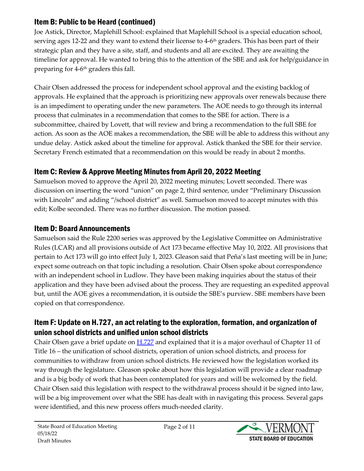## Item B: Public to be Heard (continued)

Joe Astick, Director, Maplehill School: explained that Maplehill School is a special education school, serving ages 12-22 and they want to extend their license to 4-6<sup>th</sup> graders. This has been part of their strategic plan and they have a site, staff, and students and all are excited. They are awaiting the timeline for approval. He wanted to bring this to the attention of the SBE and ask for help/guidance in preparing for 4-6<sup>th</sup> graders this fall.

Chair Olsen addressed the process for independent school approval and the existing backlog of approvals. He explained that the approach is prioritizing new approvals over renewals because there is an impediment to operating under the new parameters. The AOE needs to go through its internal process that culminates in a recommendation that comes to the SBE for action. There is a subcommittee, chaired by Lovett, that will review and bring a recommendation to the full SBE for action. As soon as the AOE makes a recommendation, the SBE will be able to address this without any undue delay. Astick asked about the timeline for approval. Astick thanked the SBE for their service. Secretary French estimated that a recommendation on this would be ready in about 2 months.

## Item C: Review & Approve Meeting Minutes from April 20, 2022 Meeting

Samuelson moved to approve the April 20, 2022 meeting minutes; Lovett seconded. There was discussion on inserting the word "union" on page 2, third sentence, under "Preliminary Discussion with Lincoln" and adding "/school district" as well. Samuelson moved to accept minutes with this edit; Kolbe seconded. There was no further discussion. The motion passed.

## Item D: Board Announcements

Samuelson said the Rule 2200 series was approved by the Legislative Committee on Administrative Rules (LCAR) and all provisions outside of Act 173 became effective May 10, 2022. All provisions that pertain to Act 173 will go into effect July 1, 2023. Gleason said that Peña's last meeting will be in June; expect some outreach on that topic including a resolution. Chair Olsen spoke about correspondence with an independent school in Ludlow. They have been making inquiries about the status of their application and they have been advised about the process. They are requesting an expedited approval but, until the AOE gives a recommendation, it is outside the SBE's purview. SBE members have been copied on that correspondence.

### Item F: Update on H.727, an act relating to the exploration, formation, and organization of union school districts and unified union school districts

Chair Olsen gave a brief update on  $H.727$  and explained that it is a major overhaul of Chapter 11 of Title 16 – the unification of school districts, operation of union school districts, and process for communities to withdraw from union school districts. He reviewed how the legislation worked its way through the legislature. Gleason spoke about how this legislation will provide a clear roadmap and is a big body of work that has been contemplated for years and will be welcomed by the field. Chair Olsen said this legislation with respect to the withdrawal process should it be signed into law, will be a big improvement over what the SBE has dealt with in navigating this process. Several gaps were identified, and this new process offers much-needed clarity.

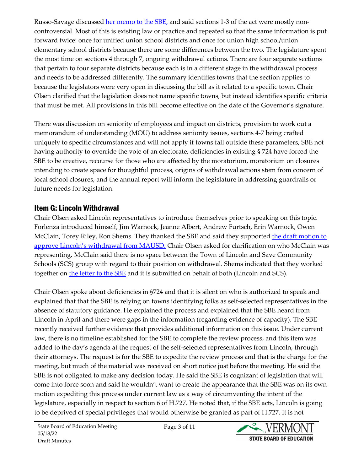Russo-Savage discussed [her memo to the SBE,](https://education.vermont.gov/document/edu-state-board-item%20f-memo%20on%20h727-05-18-22) and said sections 1-3 of the act were mostly noncontroversial. Most of this is existing law or practice and repeated so that the same information is put forward twice: once for unified union school districts and once for union high school/union elementary school districts because there are some differences between the two. The legislature spent the most time on sections 4 through 7, ongoing withdrawal actions. There are four separate sections that pertain to four separate districts because each is in a different stage in the withdrawal process and needs to be addressed differently. The summary identifies towns that the section applies to because the legislators were very open in discussing the bill as it related to a specific town. Chair Olsen clarified that the legislation does not name specific towns, but instead identifies specific criteria that must be met. All provisions in this bill become effective on the date of the Governor's signature.

There was discussion on seniority of employees and impact on districts, provision to work out a memorandum of understanding (MOU) to address seniority issues, sections 4-7 being crafted uniquely to specific circumstances and will not apply if towns fall outside these parameters, SBE not having authority to override the vote of an electorate, deficiencies in existing § 724 have forced the SBE to be creative, recourse for those who are affected by the moratorium, moratorium on closures intending to create space for thoughtful process, origins of withdrawal actions stem from concern of local school closures, and the annual report will inform the legislature in addressing guardrails or future needs for legislation.

### Item G: Lincoln Withdrawal

Chair Olsen asked Lincoln representatives to introduce themselves prior to speaking on this topic. Forlenza introduced himself, Jim Warnock, Jeanne Albert, Andrew Furtsch, Erin Warnock, Owen McClain, Torey Riley, Ron Shems. They thanked the SBE and said they supported the draft [motion to](https://education.vermont.gov/sites/aoe/files/documents/edu-state-board-item%20g-memo%20on%20draft%20motions%20for%20lincoln%20withdrawal-05-18-22_0.pdf)  [approve Lincoln's withdrawal from MAUSD.](https://education.vermont.gov/sites/aoe/files/documents/edu-state-board-item%20g-memo%20on%20draft%20motions%20for%20lincoln%20withdrawal-05-18-22_0.pdf) Chair Olsen asked for clarification on who McClain was representing. McClain said there is no space between the Town of Lincoln and Save Community Schools (SCS) group with regard to their position on withdrawal. Shems indicated that they worked together on [the letter to the SBE](https://education.vermont.gov/document/edu-state-board-item%20g-letter%20from%20mcclain%20to%20sbe%20re%20lincoln-05-18-22) and it is submitted on behalf of both (Lincoln and SCS).

Chair Olsen spoke about deficiencies in §724 and that it is silent on who is authorized to speak and explained that that the SBE is relying on towns identifying folks as self-selected representatives in the absence of statutory guidance. He explained the process and explained that the SBE heard from Lincoln in April and there were gaps in the information (regarding evidence of capacity). The SBE recently received further evidence that provides additional information on this issue. Under current law, there is no timeline established for the SBE to complete the review process, and this item was added to the day's agenda at the request of the self-selected representatives from Lincoln, through their attorneys. The request is for the SBE to expedite the review process and that is the charge for the meeting, but much of the material was received on short notice just before the meeting. He said the SBE is not obligated to make any decision today. He said the SBE is cognizant of legislation that will come into force soon and said he wouldn't want to create the appearance that the SBE was on its own motion expediting this process under current law as a way of circumventing the intent of the legislature, especially in respect to section 6 of H.727. He noted that, if the SBE acts, Lincoln is going to be deprived of special privileges that would otherwise be granted as part of H.727. It is not

Page 3 of 11

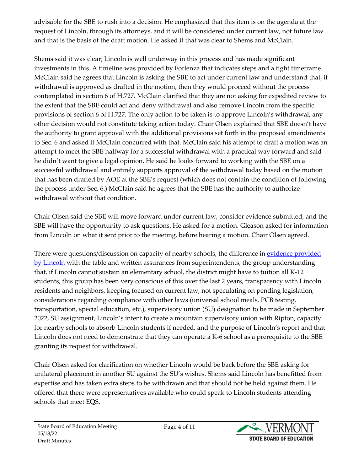advisable for the SBE to rush into a decision. He emphasized that this item is on the agenda at the request of Lincoln, through its attorneys, and it will be considered under current law, not future law and that is the basis of the draft motion. He asked if that was clear to Shems and McClain.

Shems said it was clear; Lincoln is well underway in this process and has made significant investments in this. A timeline was provided by Forlenza that indicates steps and a tight timeframe. McClain said he agrees that Lincoln is asking the SBE to act under current law and understand that, if withdrawal is approved as drafted in the motion, then they would proceed without the process contemplated in section 6 of H.727. McClain clarified that they are not asking for expedited review to the extent that the SBE could act and deny withdrawal and also remove Lincoln from the specific provisions of section 6 of H.727. The only action to be taken is to approve Lincoln's withdrawal; any other decision would not constitute taking action today. Chair Olsen explained that SBE doesn't have the authority to grant approval with the additional provisions set forth in the proposed amendments to Sec. 6 and asked if McClain concurred with that. McClain said his attempt to draft a motion was an attempt to meet the SBE halfway for a successful withdrawal with a practical way forward and said he didn't want to give a legal opinion. He said he looks forward to working with the SBE on a successful withdrawal and entirely supports approval of the withdrawal today based on the motion that has been drafted by AOE at the SBE's request (which does not contain the condition of following the process under Sec. 6.) McClain said he agrees that the SBE has the authority to authorize withdrawal without that condition.

Chair Olsen said the SBE will move forward under current law, consider evidence submitted, and the SBE will have the opportunity to ask questions. He asked for a motion. Gleason asked for information from Lincoln on what it sent prior to the meeting, before hearing a motion. Chair Olsen agreed.

There were questions/discussion on capacity of nearby schools, the difference in evidence provided [by Lincoln](https://education.vermont.gov/document/edu-state-board-item%20g-exhibit%201%20to%20mcclain%20letter-05-18-22) with the table and written assurances from superintendents, the group understanding that, if Lincoln cannot sustain an elementary school, the district might have to tuition all K-12 students, this group has been very conscious of this over the last 2 years, transparency with Lincoln residents and neighbors, keeping focused on current law, not speculating on pending legislation, considerations regarding compliance with other laws (universal school meals, PCB testing, transportation, special education, etc.), supervisory union (SU) designation to be made in September 2022, SU assignment, Lincoln's intent to create a mountain supervisory union with Ripton, capacity for nearby schools to absorb Lincoln students if needed, and the purpose of Lincoln's report and that Lincoln does not need to demonstrate that they can operate a K-6 school as a prerequisite to the SBE granting its request for withdrawal.

Chair Olsen asked for clarification on whether Lincoln would be back before the SBE asking for unilateral placement in another SU against the SU's wishes. Shems said Lincoln has benefitted from expertise and has taken extra steps to be withdrawn and that should not be held against them. He offered that there were representatives available who could speak to Lincoln students attending schools that meet EQS.

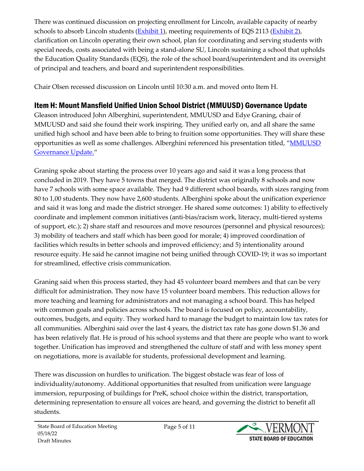There was continued discussion on projecting enrollment for Lincoln, available capacity of nearby schools to absorb Lincoln students  $(Exhibit 1)$ , meeting requirements of EQS 2113  $(Exhibit 2)$ , clarification on Lincoln operating their own school, plan for coordinating and serving students with special needs, costs associated with being a stand-alone SU, Lincoln sustaining a school that upholds the Education Quality Standards (EQS), the role of the school board/superintendent and its oversight of principal and teachers, and board and superintendent responsibilities.

Chair Olsen recessed discussion on Lincoln until 10:30 a.m. and moved onto Item H.

## Item H: Mount Mansfield Unified Union School District (MMUUSD) Governance Update

Gleason introduced John Alberghini, superintendent, MMUUSD and Edye Graning, chair of MMUUSD and said she found their work inspiring. They unified early on, and all share the same unified high school and have been able to bring to fruition some opportunities. They will share these opportunities as well as some challenges. Alberghini referenced his presentation titled, ["MMUUSD](https://education.vermont.gov/document/edu-state-board-item%20h-mmuusd%20governance%20update-05-18-22)  [Governance Update."](https://education.vermont.gov/document/edu-state-board-item%20h-mmuusd%20governance%20update-05-18-22)

Graning spoke about starting the process over 10 years ago and said it was a long process that concluded in 2019. They have 5 towns that merged. The district was originally 8 schools and now have 7 schools with some space available. They had 9 different school boards, with sizes ranging from 80 to 1,00 students. They now have 2,600 students. Alberghini spoke about the unification experience and said it was long and made the district stronger. He shared some outcomes: 1) ability to effectively coordinate and implement common initiatives (anti-bias/racism work, literacy, multi-tiered systems of support, etc.); 2) share staff and resources and move resources (personnel and physical resources); 3) mobility of teachers and staff which has been good for morale; 4) improved coordination of facilities which results in better schools and improved efficiency; and 5) intentionality around resource equity. He said he cannot imagine not being unified through COVID-19; it was so important for streamlined, effective crisis communication.

Graning said when this process started, they had 45 volunteer board members and that can be very difficult for administration. They now have 15 volunteer board members. This reduction allows for more teaching and learning for administrators and not managing a school board. This has helped with common goals and policies across schools. The board is focused on policy, accountability, outcomes, budgets, and equity. They worked hard to manage the budget to maintain low tax rates for all communities. Alberghini said over the last 4 years, the district tax rate has gone down \$1.36 and has been relatively flat. He is proud of his school systems and that there are people who want to work together. Unification has improved and strengthened the culture of staff and with less money spent on negotiations, more is available for students, professional development and learning.

There was discussion on hurdles to unification. The biggest obstacle was fear of loss of individuality/autonomy. Additional opportunities that resulted from unification were language immersion, repurposing of buildings for PreK, school choice within the district, transportation, determining representation to ensure all voices are heard, and governing the district to benefit all students.

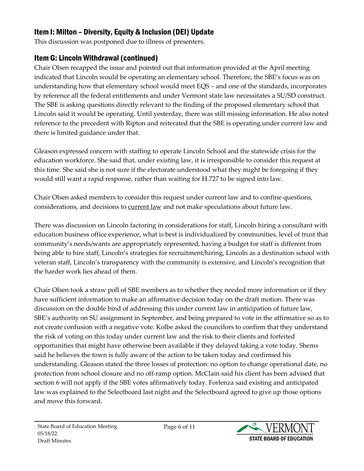## Item I: Milton – Diversity, Equity & Inclusion (DEI) Update

This discussion was postponed due to illness of presenters.

## Item G: Lincoln Withdrawal (continued)

Chair Olsen recapped the issue and pointed out that information provided at the April meeting indicated that Lincoln would be operating an elementary school. Therefore, the SBE's focus was on understanding how that elementary school would meet EQS – and one of the standards, incorporates by reference all the federal entitlements and under Vermont state law necessitates a SU/SD construct. The SBE is asking questions directly relevant to the finding of the proposed elementary school that Lincoln said it would be operating. Until yesterday, there was still missing information. He also noted reference to the precedent with Ripton and reiterated that the SBE is operating under current law and there is limited guidance under that.

Gleason expressed concern with staffing to operate Lincoln School and the statewide crisis for the education workforce. She said that, under existing law, it is irresponsible to consider this request at this time. She said she is not sure if the electorate understood what they might be foregoing if they would still want a rapid response, rather than waiting for H.727 to be signed into law.

Chair Olsen asked members to consider this request under current law and to confine questions, considerations, and decisions to current law and not make speculations about future law.

There was discussion on Lincoln factoring in considerations for staff, Lincoln hiring a consultant with education business office experience, what is best is individualized by communities, level of trust that community's needs/wants are appropriately represented, having a budget for staff is different from being able to hire staff, Lincoln's strategies for recruitment/hiring, Lincoln as a destination school with veteran staff, Lincoln's transparency with the community is extensive, and Lincoln's recognition that the harder work lies ahead of them.

Chair Olsen took a straw poll of SBE members as to whether they needed more information or if they have sufficient information to make an affirmative decision today on the draft motion. There was discussion on the double bind of addressing this under current law in anticipation of future law, SBE's authority on SU assignment in September, and being prepared to vote in the affirmative so as to not create confusion with a negative vote. Kolbe asked the councilors to confirm that they understand the risk of voting on this today under current law and the risk to their clients and forfeited opportunities that might have otherwise been available if they delayed taking a vote today. Shems said he believes the town is fully aware of the action to be taken today and confirmed his understanding. Gleason stated the three losses of protection: no option to change operational date, no protection from school closure and no off-ramp option. McClain said his client has been advised that section 6 will not apply if the SBE votes affirmatively today. Forlenza said existing and anticipated law was explained to the Selectboard last night and the Selectboard agreed to give up those options and move this forward.

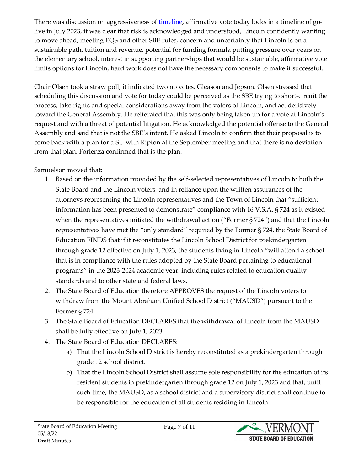There was discussion on aggressiveness of [timeline,](https://education.vermont.gov/document/edu-state-board-item%20g-lincoln%20timeline-checked-05-18-22) affirmative vote today locks in a timeline of golive in July 2023, it was clear that risk is acknowledged and understood, Lincoln confidently wanting to move ahead, meeting EQS and other SBE rules, concern and uncertainty that Lincoln is on a sustainable path, tuition and revenue, potential for funding formula putting pressure over years on the elementary school, interest in supporting partnerships that would be sustainable, affirmative vote limits options for Lincoln, hard work does not have the necessary components to make it successful.

Chair Olsen took a straw poll; it indicated two no votes, Gleason and Jepson. Olsen stressed that scheduling this discussion and vote for today could be perceived as the SBE trying to short-circuit the process, take rights and special considerations away from the voters of Lincoln, and act derisively toward the General Assembly. He reiterated that this was only being taken up for a vote at Lincoln's request and with a threat of potential litigation. He acknowledged the potential offense to the General Assembly and said that is not the SBE's intent. He asked Lincoln to confirm that their proposal is to come back with a plan for a SU with Ripton at the September meeting and that there is no deviation from that plan. Forlenza confirmed that is the plan.

Samuelson moved that:

- 1. Based on the information provided by the self-selected representatives of Lincoln to both the State Board and the Lincoln voters, and in reliance upon the written assurances of the attorneys representing the Lincoln representatives and the Town of Lincoln that "sufficient information has been presented to demonstrate" compliance with 16 V.S.A. § 724 as it existed when the representatives initiated the withdrawal action ("Former § 724") and that the Lincoln representatives have met the "only standard" required by the Former § 724, the State Board of Education FINDS that if it reconstitutes the Lincoln School District for prekindergarten through grade 12 effective on July 1, 2023, the students living in Lincoln "will attend a school that is in compliance with the rules adopted by the State Board pertaining to educational programs" in the 2023-2024 academic year, including rules related to education quality standards and to other state and federal laws.
- 2. The State Board of Education therefore APPROVES the request of the Lincoln voters to withdraw from the Mount Abraham Unified School District ("MAUSD") pursuant to the Former § 724.
- 3. The State Board of Education DECLARES that the withdrawal of Lincoln from the MAUSD shall be fully effective on July 1, 2023.
- 4. The State Board of Education DECLARES:
	- a) That the Lincoln School District is hereby reconstituted as a prekindergarten through grade 12 school district.
	- b) That the Lincoln School District shall assume sole responsibility for the education of its resident students in prekindergarten through grade 12 on July 1, 2023 and that, until such time, the MAUSD, as a school district and a supervisory district shall continue to be responsible for the education of all students residing in Lincoln.

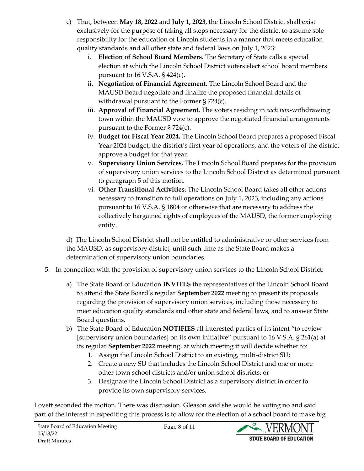- c) That, between **May 18, 2022** and **July 1, 2023**, the Lincoln School District shall exist exclusively for the purpose of taking all steps necessary for the district to assume sole responsibility for the education of Lincoln students in a manner that meets education quality standards and all other state and federal laws on July 1, 2023:
	- i. **Election of School Board Members.** The Secretary of State calls a special election at which the Lincoln School District voters elect school board members pursuant to 16 V.S.A.  $\S$  424(c).
	- ii. **Negotiation of Financial Agreement.** The Lincoln School Board and the MAUSD Board negotiate and finalize the proposed financial details of withdrawal pursuant to the Former § 724(c).
	- iii. **Approval of Financial Agreement.** The voters residing in *each non*-withdrawing town within the MAUSD vote to approve the negotiated financial arrangements pursuant to the Former § 724(c).
	- iv. **Budget for Fiscal Year 2024.** The Lincoln School Board prepares a proposed Fiscal Year 2024 budget, the district's first year of operations, and the voters of the district approve a budget for that year.
	- v. **Supervisory Union Services.** The Lincoln School Board prepares for the provision of supervisory union services to the Lincoln School District as determined pursuant to paragraph 5 of this motion.
	- vi. **Other Transitional Activities.** The Lincoln School Board takes all other actions necessary to transition to full operations on July 1, 2023, including any actions pursuant to 16 V.S.A. § 1804 or otherwise that are necessary to address the collectively bargained rights of employees of the MAUSD, the former employing entity.

d) The Lincoln School District shall not be entitled to administrative or other services from the MAUSD, as supervisory district, until such time as the State Board makes a determination of supervisory union boundaries.

- 5. In connection with the provision of supervisory union services to the Lincoln School District:
	- a) The State Board of Education **INVITES** the representatives of the Lincoln School Board to attend the State Board's regular **September 2022** meeting to present its proposals regarding the provision of supervisory union services, including those necessary to meet education quality standards and other state and federal laws, and to answer State Board questions.
	- b) The State Board of Education **NOTIFIES** all interested parties of its intent "to review [supervisory union boundaries] on its own initiative" pursuant to 16 V.S.A. § 261(a) at its regular **September 2022** meeting, at which meeting it will decide whether to:
		- 1. Assign the Lincoln School District to an existing, multi-district SU;
		- 2. Create a new SU that includes the Lincoln School District and one or more other town school districts and/or union school districts; or
		- 3. Designate the Lincoln School District as a supervisory district in order to provide its own supervisory services.

Lovett seconded the motion. There was discussion. Gleason said she would be voting no and said part of the interest in expediting this process is to allow for the election of a school board to make big

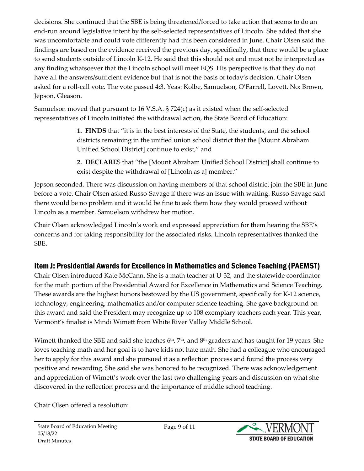decisions. She continued that the SBE is being threatened/forced to take action that seems to do an end-run around legislative intent by the self-selected representatives of Lincoln. She added that she was uncomfortable and could vote differently had this been considered in June. Chair Olsen said the findings are based on the evidence received the previous day, specifically, that there would be a place to send students outside of Lincoln K-12. He said that this should not and must not be interpreted as any finding whatsoever that the Lincoln school will meet EQS. His perspective is that they do not have all the answers/sufficient evidence but that is not the basis of today's decision. Chair Olsen asked for a roll-call vote. The vote passed 4:3. Yeas: Kolbe, Samuelson, O'Farrell, Lovett. No: Brown, Jepson, Gleason.

Samuelson moved that pursuant to 16 V.S.A. § 724(c) as it existed when the self-selected representatives of Lincoln initiated the withdrawal action, the State Board of Education:

> **1. FINDS** that "it is in the best interests of the State, the students, and the school districts remaining in the unified union school district that the [Mount Abraham Unified School District] continue to exist," and

**2. DECLARE**S that "the [Mount Abraham Unified School District] shall continue to exist despite the withdrawal of [Lincoln as a] member."

Jepson seconded. There was discussion on having members of that school district join the SBE in June before a vote. Chair Olsen asked Russo-Savage if there was an issue with waiting. Russo-Savage said there would be no problem and it would be fine to ask them how they would proceed without Lincoln as a member. Samuelson withdrew her motion.

Chair Olsen acknowledged Lincoln's work and expressed appreciation for them hearing the SBE's concerns and for taking responsibility for the associated risks. Lincoln representatives thanked the SBE.

### Item J: Presidential Awards for Excellence in Mathematics and Science Teaching (PAEMST)

Chair Olsen introduced Kate McCann. She is a math teacher at U-32, and the statewide coordinator for the math portion of the Presidential Award for Excellence in Mathematics and Science Teaching. These awards are the highest honors bestowed by the US government, specifically for K-12 science, technology, engineering, mathematics and/or computer science teaching. She gave background on this award and said the President may recognize up to 108 exemplary teachers each year. This year, Vermont's finalist is Mindi Wimett from White River Valley Middle School.

Wimett thanked the SBE and said she teaches  $6<sup>th</sup>$ ,  $7<sup>th</sup>$ , and  $8<sup>th</sup>$  graders and has taught for 19 years. She loves teaching math and her goal is to have kids not hate math. She had a colleague who encouraged her to apply for this award and she pursued it as a reflection process and found the process very positive and rewarding. She said she was honored to be recognized. There was acknowledgement and appreciation of Wimett's work over the last two challenging years and discussion on what she discovered in the reflection process and the importance of middle school teaching.

Chair Olsen offered a resolution:

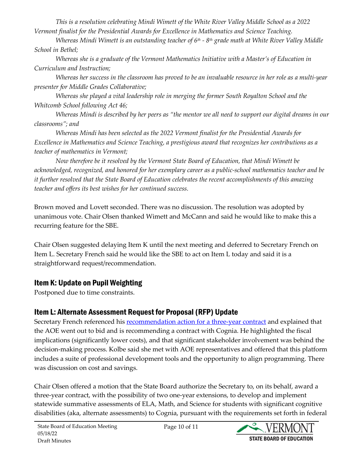*This is a resolution celebrating Mindi Wimett of the White River Valley Middle School as a 2022 Vermont finalist for the Presidential Awards for Excellence in Mathematics and Science Teaching.* 

*Whereas Mindi Wimett is an outstanding teacher of 6th - 8th grade math at White River Valley Middle School in Bethel;* 

*Whereas she is a graduate of the Vermont Mathematics Initiative with a Master's of Education in Curriculum and Instruction;* 

*Whereas her success in the classroom has proved to be an invaluable resource in her role as a multi-year presenter for Middle Grades Collaborative;* 

*Whereas she played a vital leadership role in merging the former South Royalton School and the Whitcomb School following Act 46;* 

*Whereas Mindi is described by her peers as "the mentor we all need to support our digital dreams in our classrooms"; and*

*Whereas Mindi has been selected as the 2022 Vermont finalist for the Presidential Awards for Excellence in Mathematics and Science Teaching, a prestigious award that recognizes her contributions as a teacher of mathematics in Vermont;* 

*Now therefore be it resolved by the Vermont State Board of Education, that Mindi Wimett be acknowledged, recognized, and honored for her exemplary career as a public-school mathematics teacher and be it further resolved that the State Board of Education celebrates the recent accomplishments of this amazing teacher and offers its best wishes for her continued success.* 

Brown moved and Lovett seconded. There was no discussion. The resolution was adopted by unanimous vote. Chair Olsen thanked Wimett and McCann and said he would like to make this a recurring feature for the SBE.

Chair Olsen suggested delaying Item K until the next meeting and deferred to Secretary French on Item L. Secretary French said he would like the SBE to act on Item L today and said it is a straightforward request/recommendation.

### Item K: Update on Pupil Weighting

Postponed due to time constraints.

## Item L: Alternate Assessment Request for Proposal (RFP) Update

Secretary French referenced his **[recommendation action for a three-year contract](https://education.vermont.gov/document/edu-state-board-item%20l-alt%20assessment%20rfp-05-18-22)** and explained that the AOE went out to bid and is recommending a contract with Cognia. He highlighted the fiscal implications (significantly lower costs), and that significant stakeholder involvement was behind the decision-making process. Kolbe said she met with AOE representatives and offered that this platform includes a suite of professional development tools and the opportunity to align programming. There was discussion on cost and savings.

Chair Olsen offered a motion that the State Board authorize the Secretary to, on its behalf, award a three-year contract, with the possibility of two one-year extensions, to develop and implement statewide summative assessments of ELA, Math, and Science for students with significant cognitive disabilities (aka, alternate assessments) to Cognia, pursuant with the requirements set forth in federal